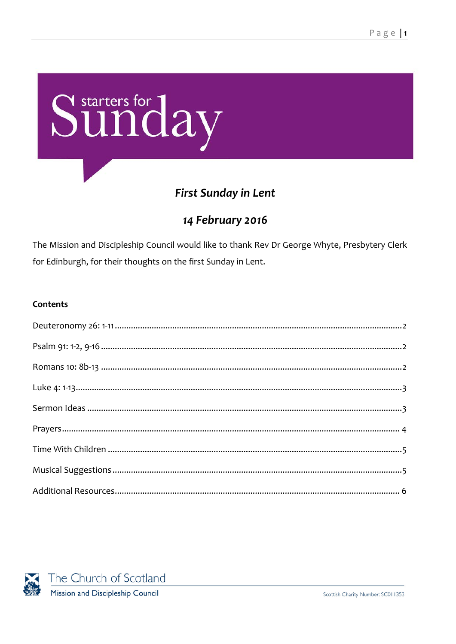

# **First Sunday in Lent**

# 14 February 2016

The Mission and Discipleship Council would like to thank Rev Dr George Whyte, Presbytery Clerk for Edinburgh, for their thoughts on the first Sunday in Lent.

#### Contents

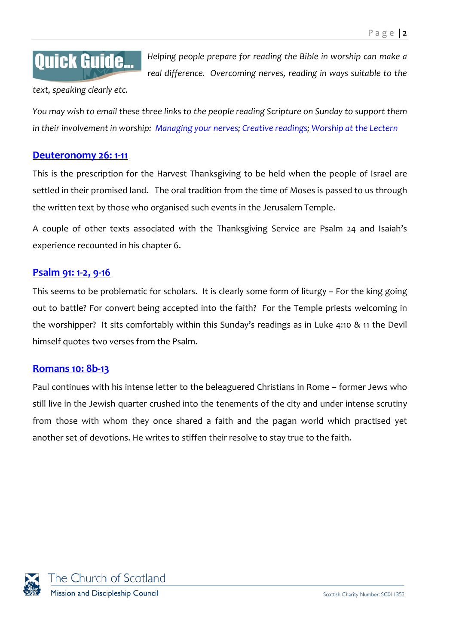# **Quick Guide...**

*Helping people prepare for reading the Bible in worship can make a real difference. Overcoming nerves, reading in ways suitable to the* 

*text, speaking clearly etc.*

*You may wish to email these three links to the people reading Scripture on Sunday to support them in their involvement in worship: [Managing your nerves;](http://www.resourcingmission.org.uk/resources/quick-guides/worship-practice?utm_source=Starters&utm_medium=pdf&utm_campaign=Starters) [Creative readings; Worship at the Lectern](https://www.resourcingmission.org.uk/resources/quick-guides/worship-practice?utm_source=Starters&utm_medium=pdf&utm_campaign=Starters)*

## <span id="page-1-0"></span>**[Deuteronomy 26:](http://bible.oremus.org/?ql=317454184) 1-11**

This is the prescription for the Harvest Thanksgiving to be held when the people of Israel are settled in their promised land. The oral tradition from the time of Moses is passed to us through the written text by those who organised such events in the Jerusalem Temple.

A couple of other texts associated with the Thanksgiving Service are Psalm 24 and Isaiah's experience recounted in his chapter 6.

## <span id="page-1-1"></span>**[Psalm 91:](http://bible.oremus.org/?ql=317454207) 1-2, 9-16**

This seems to be problematic for scholars. It is clearly some form of liturgy – For the king going out to battle? For convert being accepted into the faith? For the Temple priests welcoming in the worshipper? It sits comfortably within this Sunday's readings as in Luke 4:10 & 11 the Devil himself quotes two verses from the Psalm.

#### <span id="page-1-2"></span>**[Romans 10:](http://bible.oremus.org/?ql=317454237) 8b-13**

Paul continues with his intense letter to the beleaguered Christians in Rome – former Jews who still live in the Jewish quarter crushed into the tenements of the city and under intense scrutiny from those with whom they once shared a faith and the pagan world which practised yet another set of devotions. He writes to stiffen their resolve to stay true to the faith.

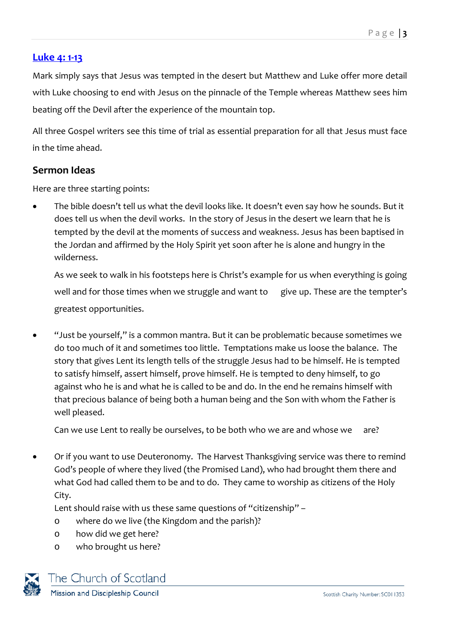## <span id="page-2-0"></span>**[Luke 4:](http://bible.oremus.org/?ql=317454265) 1-13**

Mark simply says that Jesus was tempted in the desert but Matthew and Luke offer more detail with Luke choosing to end with Jesus on the pinnacle of the Temple whereas Matthew sees him beating off the Devil after the experience of the mountain top.

All three Gospel writers see this time of trial as essential preparation for all that Jesus must face in the time ahead.

#### <span id="page-2-1"></span>**Sermon Ideas**

Here are three starting points:

• The bible doesn't tell us what the devil looks like. It doesn't even say how he sounds. But it does tell us when the devil works. In the story of Jesus in the desert we learn that he is tempted by the devil at the moments of success and weakness. Jesus has been baptised in the Jordan and affirmed by the Holy Spirit yet soon after he is alone and hungry in the wilderness.

As we seek to walk in his footsteps here is Christ's example for us when everything is going well and for those times when we struggle and want to give up. These are the tempter's greatest opportunities.

• "Just be yourself," is a common mantra. But it can be problematic because sometimes we do too much of it and sometimes too little. Temptations make us loose the balance. The story that gives Lent its length tells of the struggle Jesus had to be himself. He is tempted to satisfy himself, assert himself, prove himself. He is tempted to deny himself, to go against who he is and what he is called to be and do. In the end he remains himself with that precious balance of being both a human being and the Son with whom the Father is well pleased.

Can we use Lent to really be ourselves, to be both who we are and whose we are?

• Or if you want to use Deuteronomy. The Harvest Thanksgiving service was there to remind God's people of where they lived (the Promised Land), who had brought them there and what God had called them to be and to do. They came to worship as citizens of the Holy City.

Lent should raise with us these same questions of "citizenship" –

- o where do we live (the Kingdom and the parish)?
- o how did we get here?
- o who brought us here?



The Church of Scotland Mission and Discipleship Council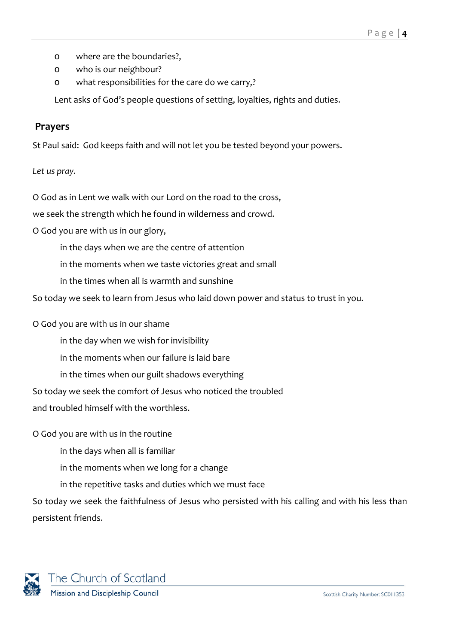- o where are the boundaries?,
- o who is our neighbour?
- o what responsibilities for the care do we carry,?

Lent asks of God's people questions of setting, loyalties, rights and duties.

#### <span id="page-3-0"></span>**Prayers**

St Paul said: God keeps faith and will not let you be tested beyond your powers.

#### *Let us pray.*

O God as in Lent we walk with our Lord on the road to the cross,

we seek the strength which he found in wilderness and crowd.

O God you are with us in our glory,

in the days when we are the centre of attention

in the moments when we taste victories great and small

in the times when all is warmth and sunshine

So today we seek to learn from Jesus who laid down power and status to trust in you.

O God you are with us in our shame

in the day when we wish for invisibility

in the moments when our failure is laid bare

in the times when our guilt shadows everything

So today we seek the comfort of Jesus who noticed the troubled

and troubled himself with the worthless.

O God you are with us in the routine

in the days when all is familiar

in the moments when we long for a change

in the repetitive tasks and duties which we must face

So today we seek the faithfulness of Jesus who persisted with his calling and with his less than persistent friends.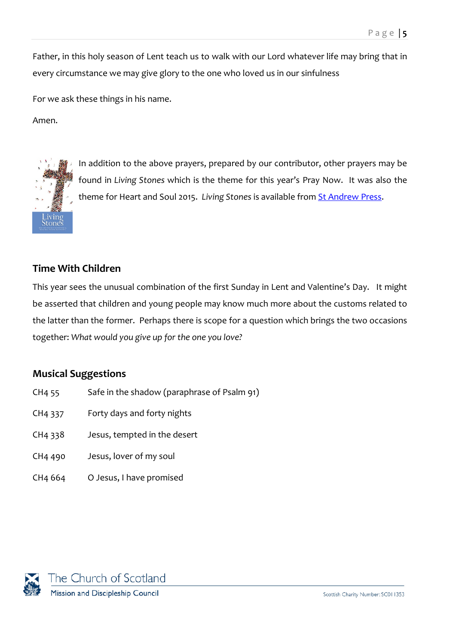Father, in this holy season of Lent teach us to walk with our Lord whatever life may bring that in every circumstance we may give glory to the one who loved us in our sinfulness

For we ask these things in his name.

Amen.



In addition to the above prayers, prepared by our contributor, other prayers may be found in *Living Stones* which is the theme for this year's Pray Now. It was also the theme for Heart and Soul 2015. *Living Stones* is available from [St Andrew Press.](http://www.standrewpress.com/books/9780861538881/living-stones)

# <span id="page-4-0"></span>**Time With Children**

This year sees the unusual combination of the first Sunday in Lent and Valentine's Day. It might be asserted that children and young people may know much more about the customs related to the latter than the former. Perhaps there is scope for a question which brings the two occasions together: *What would you give up for the one you love?*

#### <span id="page-4-1"></span>**Musical Suggestions**

- CH4 55 Safe in the shadow (paraphrase of Psalm 91)
- CH4 337 Forty days and forty nights
- CH4 338 Jesus, tempted in the desert
- CH4 490 Jesus, lover of my soul
- CH4 664 O Jesus, I have promised